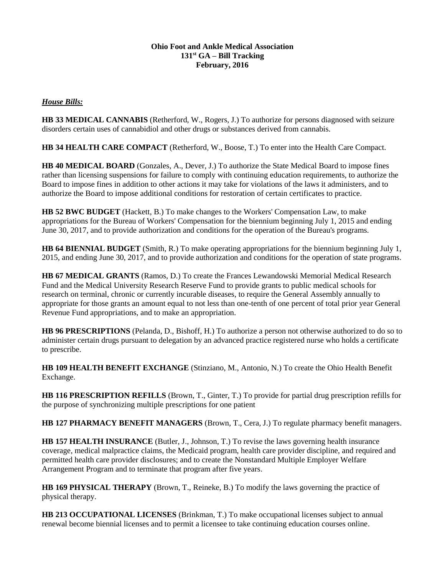## **Ohio Foot and Ankle Medical Association 131st GA – Bill Tracking February, 2016**

## *House Bills:*

**HB 33 MEDICAL CANNABIS** (Retherford, W., Rogers, J.) To authorize for persons diagnosed with seizure disorders certain uses of cannabidiol and other drugs or substances derived from cannabis.

**HB 34 HEALTH CARE COMPACT** (Retherford, W., Boose, T.) To enter into the Health Care Compact.

**HB 40 MEDICAL BOARD** (Gonzales, A., Dever, J.) To authorize the State Medical Board to impose fines rather than licensing suspensions for failure to comply with continuing education requirements, to authorize the Board to impose fines in addition to other actions it may take for violations of the laws it administers, and to authorize the Board to impose additional conditions for restoration of certain certificates to practice.

**HB 52 BWC BUDGET** (Hackett, B.) To make changes to the Workers' Compensation Law, to make appropriations for the Bureau of Workers' Compensation for the biennium beginning July 1, 2015 and ending June 30, 2017, and to provide authorization and conditions for the operation of the Bureau's programs.

**HB 64 BIENNIAL BUDGET** (Smith, R.) To make operating appropriations for the biennium beginning July 1, 2015, and ending June 30, 2017, and to provide authorization and conditions for the operation of state programs.

**HB 67 MEDICAL GRANTS** (Ramos, D.) To create the Frances Lewandowski Memorial Medical Research Fund and the Medical University Research Reserve Fund to provide grants to public medical schools for research on terminal, chronic or currently incurable diseases, to require the General Assembly annually to appropriate for those grants an amount equal to not less than one-tenth of one percent of total prior year General Revenue Fund appropriations, and to make an appropriation.

**HB 96 PRESCRIPTIONS** (Pelanda, D., Bishoff, H.) To authorize a person not otherwise authorized to do so to administer certain drugs pursuant to delegation by an advanced practice registered nurse who holds a certificate to prescribe.

**HB 109 HEALTH BENEFIT EXCHANGE** (Stinziano, M., Antonio, N.) To create the Ohio Health Benefit Exchange.

**HB 116 PRESCRIPTION REFILLS** (Brown, T., Ginter, T.) To provide for partial drug prescription refills for the purpose of synchronizing multiple prescriptions for one patient

**HB 127 PHARMACY BENEFIT MANAGERS** (Brown, T., Cera, J.) To regulate pharmacy benefit managers.

**HB 157 HEALTH INSURANCE** (Butler, J., Johnson, T.) To revise the laws governing health insurance coverage, medical malpractice claims, the Medicaid program, health care provider discipline, and required and permitted health care provider disclosures; and to create the Nonstandard Multiple Employer Welfare Arrangement Program and to terminate that program after five years.

**HB 169 PHYSICAL THERAPY** (Brown, T., Reineke, B.) To modify the laws governing the practice of physical therapy.

**HB 213 OCCUPATIONAL LICENSES** (Brinkman, T.) To make occupational licenses subject to annual renewal become biennial licenses and to permit a licensee to take continuing education courses online.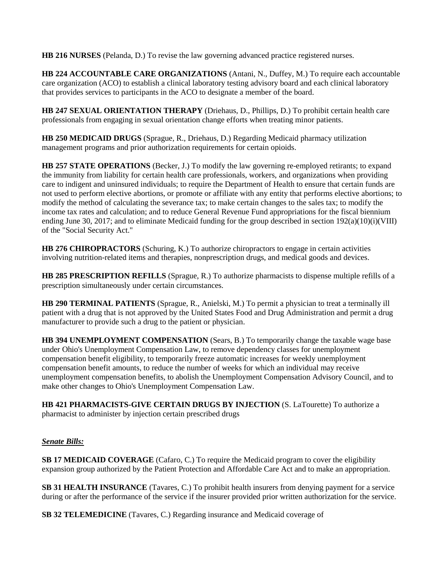**HB 216 NURSES** (Pelanda, D.) To revise the law governing advanced practice registered nurses.

**HB 224 ACCOUNTABLE CARE ORGANIZATIONS** (Antani, N., Duffey, M.) To require each accountable care organization (ACO) to establish a clinical laboratory testing advisory board and each clinical laboratory that provides services to participants in the ACO to designate a member of the board.

**HB 247 SEXUAL ORIENTATION THERAPY** (Driehaus, D., Phillips, D.) To prohibit certain health care professionals from engaging in sexual orientation change efforts when treating minor patients.

**HB 250 MEDICAID DRUGS** (Sprague, R., Driehaus, D.) Regarding Medicaid pharmacy utilization management programs and prior authorization requirements for certain opioids.

**HB 257 STATE OPERATIONS** (Becker, J.) To modify the law governing re-employed retirants; to expand the immunity from liability for certain health care professionals, workers, and organizations when providing care to indigent and uninsured individuals; to require the Department of Health to ensure that certain funds are not used to perform elective abortions, or promote or affiliate with any entity that performs elective abortions; to modify the method of calculating the severance tax; to make certain changes to the sales tax; to modify the income tax rates and calculation; and to reduce General Revenue Fund appropriations for the fiscal biennium ending June 30, 2017; and to eliminate Medicaid funding for the group described in section 192(a)(10)(i)(VIII) of the "Social Security Act."

**HB 276 CHIROPRACTORS** (Schuring, K.) To authorize chiropractors to engage in certain activities involving nutrition-related items and therapies, nonprescription drugs, and medical goods and devices.

**HB 285 PRESCRIPTION REFILLS** (Sprague, R.) To authorize pharmacists to dispense multiple refills of a prescription simultaneously under certain circumstances.

**HB 290 TERMINAL PATIENTS** (Sprague, R., Anielski, M.) To permit a physician to treat a terminally ill patient with a drug that is not approved by the United States Food and Drug Administration and permit a drug manufacturer to provide such a drug to the patient or physician.

**HB 394 UNEMPLOYMENT COMPENSATION** (Sears, B.) To temporarily change the taxable wage base under Ohio's Unemployment Compensation Law, to remove dependency classes for unemployment compensation benefit eligibility, to temporarily freeze automatic increases for weekly unemployment compensation benefit amounts, to reduce the number of weeks for which an individual may receive unemployment compensation benefits, to abolish the Unemployment Compensation Advisory Council, and to make other changes to Ohio's Unemployment Compensation Law.

**HB 421 PHARMACISTS-GIVE CERTAIN DRUGS BY INJECTION** (S. LaTourette) To authorize a pharmacist to administer by injection certain prescribed drugs

## *Senate Bills:*

**SB 17 MEDICAID COVERAGE** (Cafaro, C.) To require the Medicaid program to cover the eligibility expansion group authorized by the Patient Protection and Affordable Care Act and to make an appropriation.

**SB 31 HEALTH INSURANCE** (Tavares, C.) To prohibit health insurers from denying payment for a service during or after the performance of the service if the insurer provided prior written authorization for the service.

**SB 32 TELEMEDICINE** (Tavares, C.) Regarding insurance and Medicaid coverage of